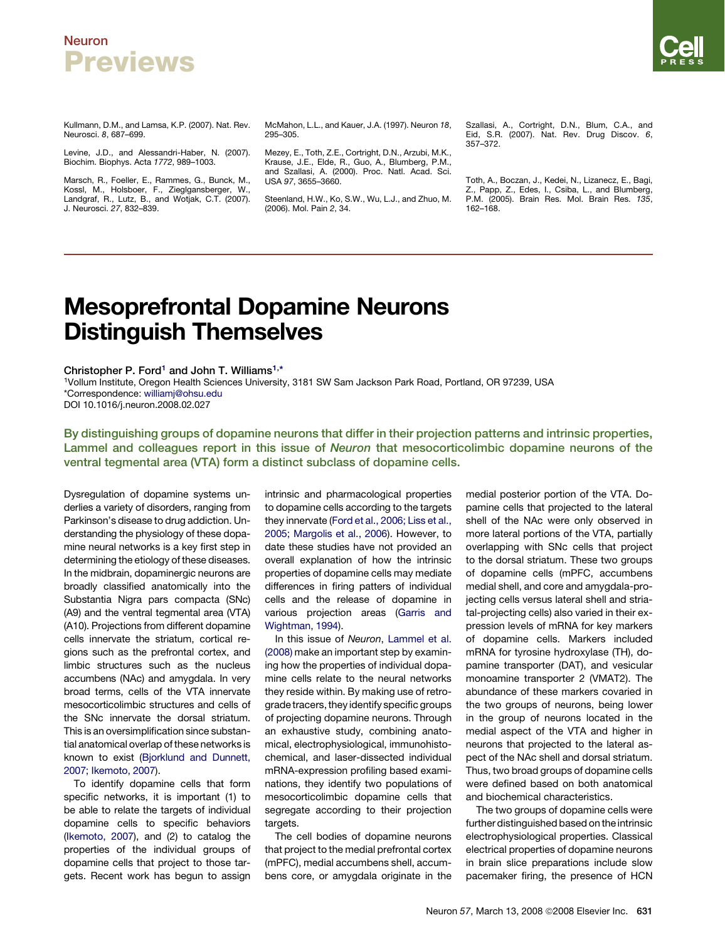### Neuron Previews

Kullmann, D.M., and Lamsa, K.P. (2007). Nat. Rev. Neurosci. *8*, 687–699.

Levine, J.D., and Alessandri-Haber, N. (2007). Biochim. Biophys. Acta *1772*, 989–1003.

Marsch, R., Foeller, E., Rammes, G., Bunck, M., Kossl, M., Holsboer, F., Zieglgansberger, W., Landgraf, R., Lutz, B., and Wotjak, C.T. (2007). J. Neurosci. *27*, 832–839.

McMahon, L.L., and Kauer, J.A. (1997). Neuron *18*, 295–305.

Mezey, E., Toth, Z.E., Cortright, D.N., Arzubi, M.K., Krause, J.E., Elde, R., Guo, A., Blumberg, P.M., and Szallasi, A. (2000). Proc. Natl. Acad. Sci. USA *97*, 3655–3660.

Steenland, H.W., Ko, S.W., Wu, L.J., and Zhuo, M. (2006). Mol. Pain *2*, 34.

Szallasi, A., Cortright, D.N., Blum, C.A., and Eid, S.R. (2007). Nat. Rev. Drug Discov. *6*, 357–372.

Toth, A., Boczan, J., Kedei, N., Lizanecz, E., Bagi, Z., Papp, Z., Edes, I., Csiba, L., and Blumberg, P.M. (2005). Brain Res. Mol. Brain Res. *135*, 162–168.

## Mesoprefrontal Dopamine Neurons Distinguish Themselves

#### Christopher P. Ford<sup>1</sup> and John T. Williams<sup>1,\*</sup>

1Vollum Institute, Oregon Health Sciences University, 3181 SW Sam Jackson Park Road, Portland, OR 97239, USA \*Correspondence: [williamj@ohsu.edu](mailto:williamj@ohsu.edu) DOI 10.1016/j.neuron.2008.02.027

By distinguishing groups of dopamine neurons that differ in their projection patterns and intrinsic properties, Lammel and colleagues report in this issue of Neuron that mesocorticolimbic dopamine neurons of the ventral tegmental area (VTA) form a distinct subclass of dopamine cells.

Dysregulation of dopamine systems underlies a variety of disorders, ranging from Parkinson's disease to drug addiction. Understanding the physiology of these dopamine neural networks is a key first step in determining the etiology of these diseases. In the midbrain, dopaminergic neurons are broadly classified anatomically into the Substantia Nigra pars compacta (SNc) (A9) and the ventral tegmental area (VTA) (A10). Projections from different dopamine cells innervate the striatum, cortical regions such as the prefrontal cortex, and limbic structures such as the nucleus accumbens (NAc) and amygdala. In very broad terms, cells of the VTA innervate mesocorticolimbic structures and cells of the SNc innervate the dorsal striatum. This is an oversimplification since substantial anatomical overlap of these networks is known to exist [\(Bjorklund and Dunnett,](#page-1-0) [2007; Ikemoto, 2007](#page-1-0)).

To identify dopamine cells that form specific networks, it is important (1) to be able to relate the targets of individual dopamine cells to specific behaviors [\(Ikemoto, 2007](#page-1-0)), and (2) to catalog the properties of the individual groups of dopamine cells that project to those targets. Recent work has begun to assign intrinsic and pharmacological properties to dopamine cells according to the targets they innervate [\(Ford et al., 2006; Liss et al.,](#page-1-0) [2005; Margolis et al., 2006](#page-1-0)). However, to date these studies have not provided an overall explanation of how the intrinsic properties of dopamine cells may mediate differences in firing patters of individual cells and the release of dopamine in various projection areas [\(Garris and](#page-1-0) [Wightman, 1994](#page-1-0)).

In this issue of *Neuron*, [Lammel et al.](#page-1-0) [\(2008\)](#page-1-0) make an important step by examining how the properties of individual dopamine cells relate to the neural networks they reside within. By making use of retrograde tracers, they identify specific groups of projecting dopamine neurons. Through an exhaustive study, combining anatomical, electrophysiological, immunohistochemical, and laser-dissected individual mRNA-expression profiling based examinations, they identify two populations of mesocorticolimbic dopamine cells that segregate according to their projection targets.

The cell bodies of dopamine neurons that project to the medial prefrontal cortex (mPFC), medial accumbens shell, accumbens core, or amygdala originate in the

medial posterior portion of the VTA. Dopamine cells that projected to the lateral shell of the NAc were only observed in more lateral portions of the VTA, partially overlapping with SNc cells that project to the dorsal striatum. These two groups of dopamine cells (mPFC, accumbens medial shell, and core and amygdala-projecting cells versus lateral shell and striatal-projecting cells) also varied in their expression levels of mRNA for key markers of dopamine cells. Markers included mRNA for tyrosine hydroxylase (TH), dopamine transporter (DAT), and vesicular monoamine transporter 2 (VMAT2). The abundance of these markers covaried in the two groups of neurons, being lower in the group of neurons located in the medial aspect of the VTA and higher in neurons that projected to the lateral aspect of the NAc shell and dorsal striatum. Thus, two broad groups of dopamine cells were defined based on both anatomical and biochemical characteristics.

The two groups of dopamine cells were further distinguished based on the intrinsic electrophysiological properties. Classical electrical properties of dopamine neurons in brain slice preparations include slow pacemaker firing, the presence of HCN